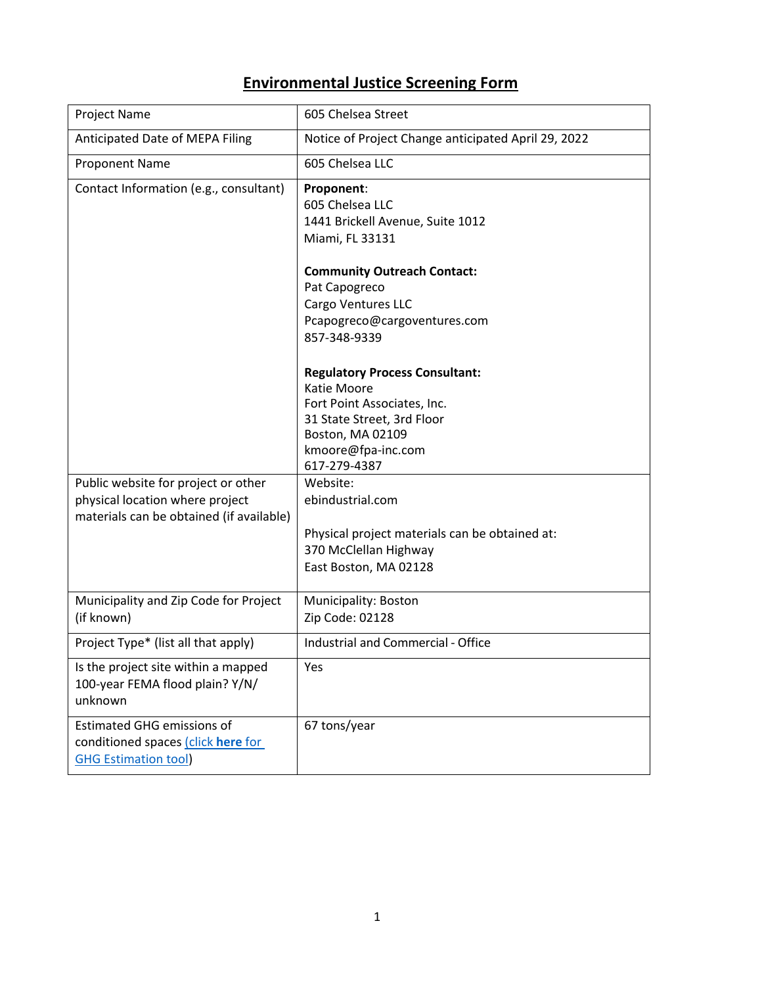## **Environmental Justice Screening Form**

| Project Name                                                                                                       | 605 Chelsea Street                                                                                                                                                          |
|--------------------------------------------------------------------------------------------------------------------|-----------------------------------------------------------------------------------------------------------------------------------------------------------------------------|
| Anticipated Date of MEPA Filing                                                                                    | Notice of Project Change anticipated April 29, 2022                                                                                                                         |
| <b>Proponent Name</b>                                                                                              | 605 Chelsea LLC                                                                                                                                                             |
| Contact Information (e.g., consultant)                                                                             | Proponent:<br>605 Chelsea LLC<br>1441 Brickell Avenue, Suite 1012<br>Miami, FL 33131                                                                                        |
|                                                                                                                    | <b>Community Outreach Contact:</b><br>Pat Capogreco<br>Cargo Ventures LLC<br>Pcapogreco@cargoventures.com<br>857-348-9339                                                   |
|                                                                                                                    | <b>Regulatory Process Consultant:</b><br>Katie Moore<br>Fort Point Associates, Inc.<br>31 State Street, 3rd Floor<br>Boston, MA 02109<br>kmoore@fpa-inc.com<br>617-279-4387 |
| Public website for project or other<br>physical location where project<br>materials can be obtained (if available) | Website:<br>ebindustrial.com<br>Physical project materials can be obtained at:<br>370 McClellan Highway<br>East Boston, MA 02128                                            |
| Municipality and Zip Code for Project<br>(if known)                                                                | Municipality: Boston<br>Zip Code: 02128                                                                                                                                     |
| Project Type* (list all that apply)                                                                                | Industrial and Commercial - Office                                                                                                                                          |
| Is the project site within a mapped<br>100-year FEMA flood plain? Y/N/<br>unknown                                  | Yes                                                                                                                                                                         |
| <b>Estimated GHG emissions of</b><br>conditioned spaces (click here for<br><b>GHG Estimation tool</b>              | 67 tons/year                                                                                                                                                                |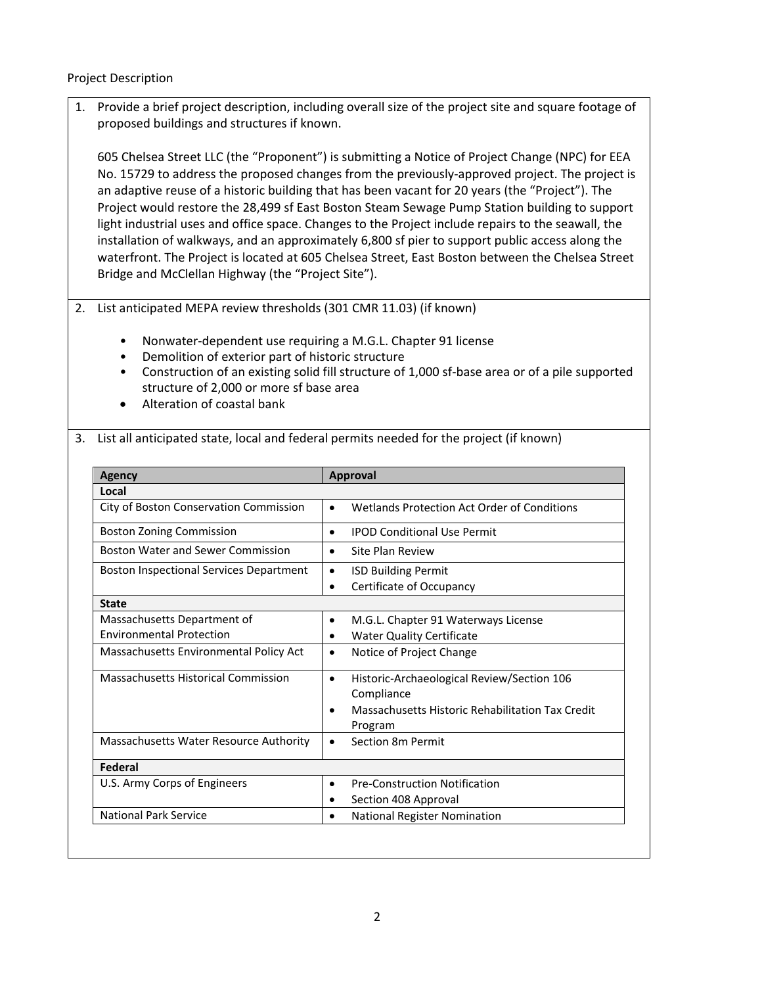Project Description

1. Provide a brief project description, including overall size of the project site and square footage of proposed buildings and structures if known.

605 Chelsea Street LLC (the "Proponent") is submitting a Notice of Project Change (NPC) for EEA No. 15729 to address the proposed changes from the previously-approved project. The project is an adaptive reuse of a historic building that has been vacant for 20 years (the "Project"). The Project would restore the 28,499 sf East Boston Steam Sewage Pump Station building to support light industrial uses and office space. Changes to the Project include repairs to the seawall, the installation of walkways, and an approximately 6,800 sf pier to support public access along the waterfront. The Project is located at 605 Chelsea Street, East Boston between the Chelsea Street Bridge and McClellan Highway (the "Project Site").

## 2. List anticipated MEPA review thresholds (301 CMR 11.03) (if known)

- Nonwater-dependent use requiring a M.G.L. Chapter 91 license
- Demolition of exterior part of historic structure
- Construction of an existing solid fill structure of 1,000 sf-base area or of a pile supported structure of 2,000 or more sf base area
- Alteration of coastal bank

## 3. List all anticipated state, local and federal permits needed for the project (if known)

| Agency                                         | <b>Approval</b>                                                                  |
|------------------------------------------------|----------------------------------------------------------------------------------|
| Local                                          |                                                                                  |
| City of Boston Conservation Commission         | Wetlands Protection Act Order of Conditions<br>$\bullet$                         |
| <b>Boston Zoning Commission</b>                | <b>IPOD Conditional Use Permit</b><br>$\bullet$                                  |
| <b>Boston Water and Sewer Commission</b>       | Site Plan Review<br>$\bullet$                                                    |
| <b>Boston Inspectional Services Department</b> | <b>ISD Building Permit</b><br>$\bullet$<br>Certificate of Occupancy<br>$\bullet$ |
| <b>State</b>                                   |                                                                                  |
| Massachusetts Department of                    | M.G.L. Chapter 91 Waterways License<br>٠                                         |
| <b>Environmental Protection</b>                | <b>Water Quality Certificate</b>                                                 |
| Massachusetts Environmental Policy Act         | Notice of Project Change<br>$\bullet$                                            |
| Massachusetts Historical Commission            | Historic-Archaeological Review/Section 106<br>$\bullet$<br>Compliance            |
|                                                | Massachusetts Historic Rehabilitation Tax Credit<br>$\bullet$<br>Program         |
| Massachusetts Water Resource Authority         | Section 8m Permit<br>٠                                                           |
| Federal                                        |                                                                                  |
| U.S. Army Corps of Engineers                   | <b>Pre-Construction Notification</b><br>$\bullet$                                |
|                                                | Section 408 Approval                                                             |
| <b>National Park Service</b>                   | <b>National Register Nomination</b>                                              |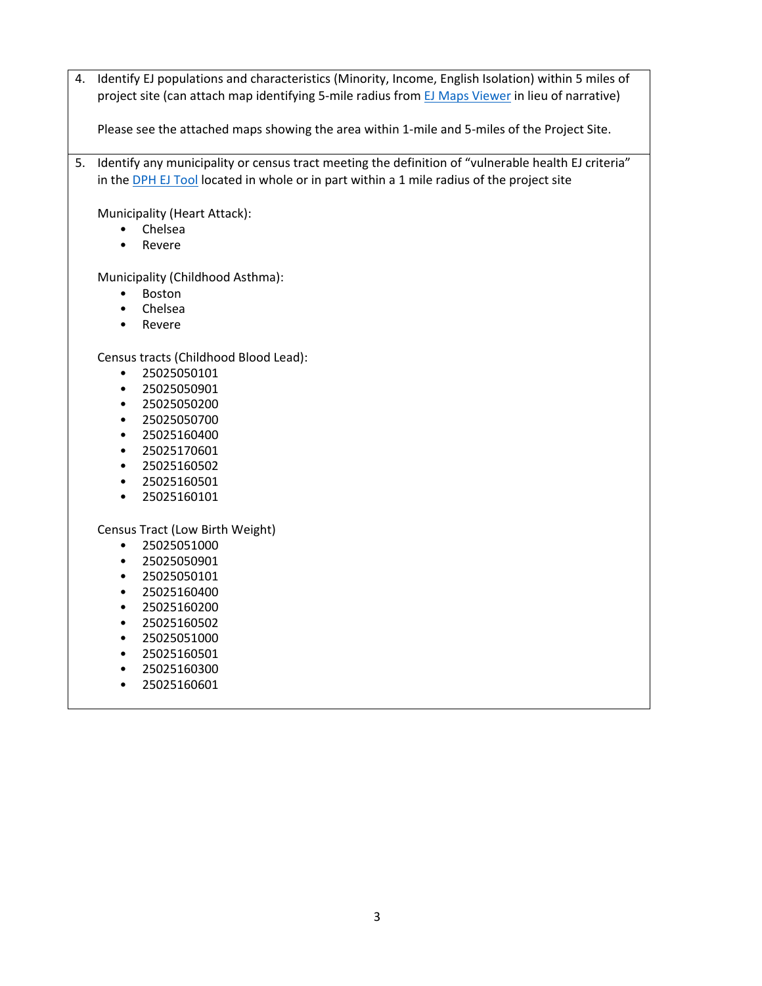4. Identify EJ populations and characteristics (Minority, Income, English Isolation) within 5 miles of project site (can attach map identifying 5-mile radius from [EJ Maps Viewer](https://mass-eoeea.maps.arcgis.com/apps/MapSeries/index.html?appid=535e4419dc0545be980545a0eeaf9b53) in lieu of narrative)

Please see the attached maps showing the area within 1-mile and 5-miles of the Project Site.

5. Identify any municipality or census tract meeting the definition of "vulnerable health EJ criteria" in the [DPH EJ Tool](https://matracking.ehs.state.ma.us/Environmental-Data/ej-vulnerable-health/environmental-justice.html) located in whole or in part within a 1 mile radius of the project site

Municipality (Heart Attack):

- Chelsea
- Revere

Municipality (Childhood Asthma):

- Boston
- Chelsea
- Revere

Census tracts (Childhood Blood Lead):

- 25025050101
- 25025050901
- 25025050200
- 25025050700
- 25025160400
- 25025170601
- 25025160502
- 25025160501
- 25025160101

Census Tract (Low Birth Weight)

- 25025051000
- 25025050901
- 25025050101
- 25025160400
- 25025160200
- 25025160502
- 25025051000
- 25025160501
- 25025160300
- 25025160601